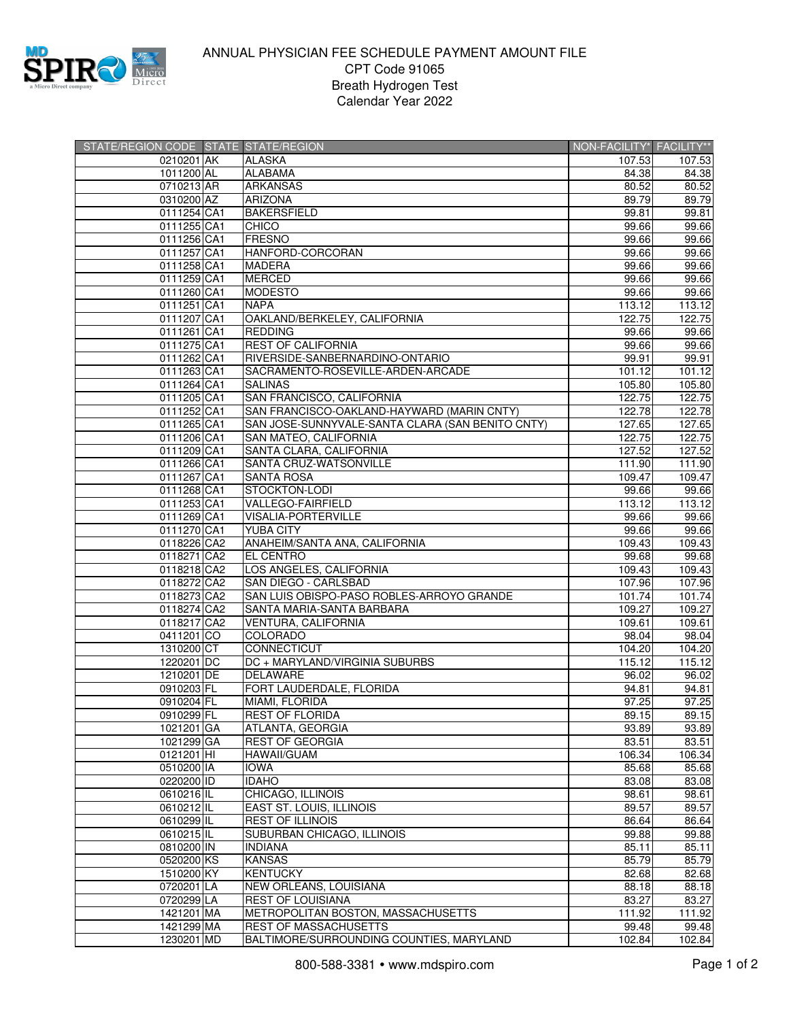

## ANNUAL PHYSICIAN FEE SCHEDULE PAYMENT AMOUNT FILE CPT Code 91065 Breath Hydrogen Test Calendar Year 2022

| STATE/REGION CODE STATE STATE/REGION |                                                            | NON-FACILITY* FACILITY** |        |
|--------------------------------------|------------------------------------------------------------|--------------------------|--------|
| 0210201 AK                           | <b>ALASKA</b>                                              | 107.53                   | 107.53 |
| 1011200 AL                           | <b>ALABAMA</b>                                             | 84.38                    | 84.38  |
| 0710213 AR                           | <b>ARKANSAS</b>                                            | 80.52                    | 80.52  |
| 0310200 AZ                           | <b>ARIZONA</b>                                             | 89.79                    | 89.79  |
| 0111254 CA1                          | <b>BAKERSFIELD</b>                                         | 99.81                    | 99.81  |
| 0111255 CA1                          | <b>CHICO</b>                                               | 99.66                    | 99.66  |
| 0111256 CA1                          | <b>FRESNO</b>                                              | 99.66                    | 99.66  |
| 0111257 CA1                          | HANFORD-CORCORAN                                           | 99.66                    | 99.66  |
| 0111258 CA1                          | <b>MADERA</b>                                              | 99.66                    | 99.66  |
| 0111259 CA1                          | <b>MERCED</b>                                              | 99.66                    | 99.66  |
| 0111260 CA1                          | <b>MODESTO</b>                                             | 99.66                    | 99.66  |
| 0111251 CA1                          | <b>NAPA</b>                                                | 113.12                   | 113.12 |
| 0111207 CA1                          | OAKLAND/BERKELEY, CALIFORNIA                               | 122.75                   | 122.75 |
| 0111261 CA1                          | <b>REDDING</b>                                             | 99.66                    | 99.66  |
| 0111275 CA1                          | <b>REST OF CALIFORNIA</b>                                  | 99.66                    | 99.66  |
| 0111262 CA1                          | RIVERSIDE-SANBERNARDINO-ONTARIO                            | 99.91                    | 99.91  |
| 0111263 CA1                          | SACRAMENTO-ROSEVILLE-ARDEN-ARCADE                          | 101.12                   | 101.12 |
| 0111264 CA1                          | <b>SALINAS</b>                                             | 105.80                   | 105.80 |
| 0111205 CA1                          | SAN FRANCISCO, CALIFORNIA                                  | 122.75                   | 122.75 |
| 0111252 CA1                          | SAN FRANCISCO-OAKLAND-HAYWARD (MARIN CNTY)                 | 122.78                   | 122.78 |
| 0111265 CA1                          | SAN JOSE-SUNNYVALE-SANTA CLARA (SAN BENITO CNTY)           | 127.65                   | 127.65 |
| 0111206 CA1                          | SAN MATEO, CALIFORNIA                                      | 122.75                   | 122.75 |
| 0111209 CA1                          | SANTA CLARA, CALIFORNIA                                    | 127.52                   | 127.52 |
| 0111266 CA1                          | SANTA CRUZ-WATSONVILLE                                     | 111.90                   | 111.90 |
| 0111267 CA1                          | <b>SANTA ROSA</b>                                          | 109.47                   | 109.47 |
| 0111268 CA1                          | STOCKTON-LODI                                              | 99.66                    | 99.66  |
| 0111253 CA1                          | VALLEGO-FAIRFIELD                                          | 113.12                   | 113.12 |
| 0111269 CA1                          | <b>VISALIA-PORTERVILLE</b>                                 | 99.66                    | 99.66  |
| 0111270 CA1                          | <b>YUBA CITY</b>                                           | 99.66                    | 99.66  |
| 0118226 CA2                          | ANAHEIM/SANTA ANA, CALIFORNIA                              | 109.43                   | 109.43 |
| 0118271 CA2                          | <b>EL CENTRO</b>                                           | 99.68                    | 99.68  |
| 0118218 CA2                          | LOS ANGELES, CALIFORNIA                                    | 109.43                   | 109.43 |
| 0118272 CA2                          | SAN DIEGO - CARLSBAD                                       | 107.96                   | 107.96 |
| 0118273 CA2                          | SAN LUIS OBISPO-PASO ROBLES-ARROYO GRANDE                  | 101.74                   | 101.74 |
| 0118274 CA2                          | SANTA MARIA-SANTA BARBARA                                  | 109.27                   | 109.27 |
| 0118217 CA2                          | VENTURA, CALIFORNIA                                        | 109.61                   | 109.61 |
| 0411201 CO                           | COLORADO                                                   | 98.04                    | 98.04  |
| 1310200 CT                           | CONNECTICUT                                                | 104.20                   | 104.20 |
| 1220201 DC                           | DC + MARYLAND/VIRGINIA SUBURBS                             | 115.12                   | 115.12 |
| 1210201 DE                           | <b>DELAWARE</b>                                            | 96.02                    | 96.02  |
| 0910203 FL                           | FORT LAUDERDALE, FLORIDA                                   | 94.81                    | 94.81  |
| 0910204 FL                           | MIAMI, FLORIDA                                             | 97.25                    | 97.25  |
| 0910299 FL                           | <b>REST OF FLORIDA</b>                                     | 89.15                    | 89.15  |
| 1021201 GA                           | ATLANTA, GEORGIA                                           | 93.89                    | 93.89  |
| 1021299 GA                           | <b>REST OF GEORGIA</b>                                     | 83.51                    | 83.51  |
| 0121201 HI                           | <b>HAWAII/GUAM</b>                                         | 106.34                   | 106.34 |
| 0510200 IA                           | <b>IOWA</b>                                                |                          | 85.68  |
| 0220200 ID                           | <b>IDAHO</b>                                               | 85.68<br>83.08           | 83.08  |
| 0610216 IL                           | CHICAGO, ILLINOIS                                          | 98.61                    | 98.61  |
|                                      |                                                            | 89.57                    |        |
| 0610212 IL<br>0610299 IL             | <b>EAST ST. LOUIS, ILLINOIS</b><br><b>REST OF ILLINOIS</b> |                          | 89.57  |
| 0610215 IL                           |                                                            | 86.64                    | 86.64  |
|                                      | SUBURBAN CHICAGO, ILLINOIS                                 | 99.88                    | 99.88  |
| 0810200 IN                           | <b>INDIANA</b>                                             | 85.11                    | 85.11  |
| 0520200 KS<br>1510200 KY             | <b>KANSAS</b>                                              | 85.79                    | 85.79  |
|                                      | <b>KENTUCKY</b>                                            | 82.68                    | 82.68  |
| 0720201 LA                           | NEW ORLEANS, LOUISIANA                                     | 88.18                    | 88.18  |
| 0720299 LA                           | <b>REST OF LOUISIANA</b>                                   | 83.27                    | 83.27  |
| 1421201 MA                           | METROPOLITAN BOSTON, MASSACHUSETTS                         | 111.92                   | 111.92 |
| 1421299 MA                           | <b>REST OF MASSACHUSETTS</b>                               | 99.48                    | 99.48  |
| 1230201 MD                           | BALTIMORE/SURROUNDING COUNTIES, MARYLAND                   | 102.84                   | 102.84 |